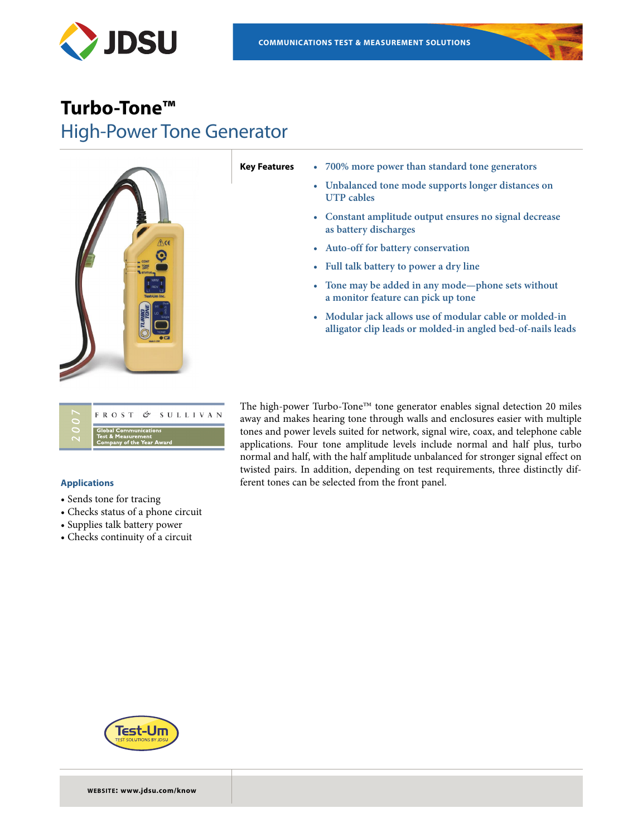

# **Turbo-Tone™** High-Power Tone Generator



- **Key Features • 700% more power than standard tone generators**
	- **• Unbalanced tone mode supports longer distances on UTP cables**
	- **• Constant amplitude output ensures no signal decrease as battery discharges**
	- **• Auto-off for battery conservation**
	- **• Full talk battery to power a dry line**
	- **• Tone may be added in any mode—phone sets without a monitor feature can pick up tone**
	- **• Modular jack allows use of modular cable or molded-in alligator clip leads or molded-in angled bed-of-nails leads**

| FROST & SULLIVAN                                                                       |
|----------------------------------------------------------------------------------------|
| <b>Global Communications</b><br>Test & Measurement<br><b>Company of the Year Award</b> |

# **Applications**

- Sends tone for tracing
- Checks status of a phone circuit
- Supplies talk battery power
- Checks continuity of a circuit

The high-power Turbo-Tone™ tone generator enables signal detection 20 miles away and makes hearing tone through walls and enclosures easier with multiple tones and power levels suited for network, signal wire, coax, and telephone cable applications. Four tone amplitude levels include normal and half plus, turbo normal and half, with the half amplitude unbalanced for stronger signal effect on twisted pairs. In addition, depending on test requirements, three distinctly different tones can be selected from the front panel.



**WEBSITE: www.jdsu.com/know**